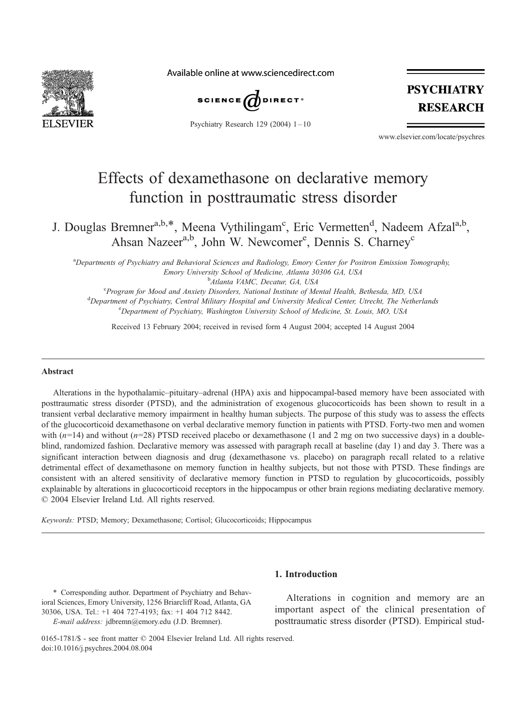

Available online at www.sciencedirect.com



Psychiatry Research 129 (2004) 1 – 10



www.elsevier.com/locate/psychres

## Effects of dexamethasone on declarative memory function in posttraumatic stress disorder

J. Douglas Bremner<sup>a,b,\*</sup>, Meena Vythilingam<sup>c</sup>, Eric Vermetten<sup>d</sup>, Nadeem Afzal<sup>a,b</sup>, Ahsan Nazeer<sup>a,b</sup>, John W. Newcomer<sup>e</sup>, Dennis S. Charney<sup>c</sup>

a Departments of Psychiatry and Behavioral Sciences and Radiology, Emory Center for Positron Emission Tomography, Emory University School of Medicine, Atlanta 30306 GA, USA

<sup>b</sup>Atlanta VAMC, Decatur, GA, USA <sup>b</sup>Atlanta VAMC, Decatur, GA, USA<br><sup>e</sup> Brocram for Mood and Anrioty Disordors, National Institute of Me

<sup>C</sup>Program for Mood and Anxiety Disorders, National Institute of Mental Health, Bethesda, MD, USA<br><sup>d</sup>Danartmant of Psychiatry, Cantral Military Hospital and University Medical Cantar Utracht, The Nather Department of Psychiatry, Central Military Hospital and University Medical Center, Utrecht, The Netherlands <sup>e</sup>Department of Psychiatry, Washington University School of Medicine, St. Louis, MO, USA

Received 13 February 2004; received in revised form 4 August 2004; accepted 14 August 2004

#### Abstract

Alterations in the hypothalamic–pituitary–adrenal (HPA) axis and hippocampal-based memory have been associated with posttraumatic stress disorder (PTSD), and the administration of exogenous glucocorticoids has been shown to result in a transient verbal declarative memory impairment in healthy human subjects. The purpose of this study was to assess the effects of the glucocorticoid dexamethasone on verbal declarative memory function in patients with PTSD. Forty-two men and women with  $(n=14)$  and without  $(n=28)$  PTSD received placebo or dexamethasone (1 and 2 mg on two successive days) in a doubleblind, randomized fashion. Declarative memory was assessed with paragraph recall at baseline (day 1) and day 3. There was a significant interaction between diagnosis and drug (dexamethasone vs. placebo) on paragraph recall related to a relative detrimental effect of dexamethasone on memory function in healthy subjects, but not those with PTSD. These findings are consistent with an altered sensitivity of declarative memory function in PTSD to regulation by glucocorticoids, possibly explainable by alterations in glucocorticoid receptors in the hippocampus or other brain regions mediating declarative memory.  $© 2004 Elsevier Ireland Ltd. All rights reserved.$ 

Keywords: PTSD; Memory; Dexamethasone; Cortisol; Glucocorticoids; Hippocampus

### 1. Introduction

\* Corresponding author. Department of Psychiatry and Behavioral Sciences, Emory University, 1256 Briarcliff Road, Atlanta, GA 30306, USA. Tel.: +1 404 727-4193; fax: +1 404 712 8442. E-mail address: jdbremn@emory.edu (J.D. Bremner).

Alterations in cognition and memory are an important aspect of the clinical presentation of posttraumatic stress disorder (PTSD). Empirical stud-

0165-1781/ $\$  - see front matter  $\degree$  2004 Elsevier Ireland Ltd. All rights reserved. doi:10.1016/j.psychres.2004.08.004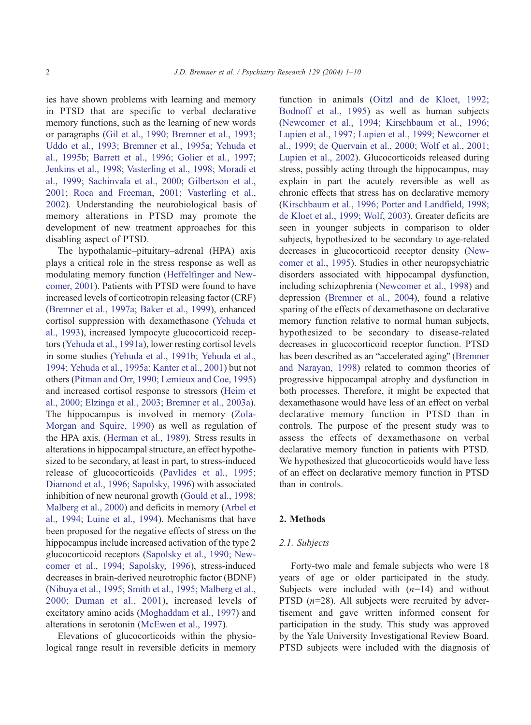ies have shown problems with learning and memory in PTSD that are specific to verbal declarative memory functions, such as the learning of new words or paragraphs ([Gil et al., 1990; Bremner et al., 1993;](#page--1-0) Uddo et al., 1993; Bremner et al., 1995a; Yehuda et al., 1995b; Barrett et al., 1996; Golier et al., 1997; Jenkins et al., 1998; Vasterling et al., 1998; Moradi et al., 1999; Sachinvala et al., 2000; Gilbertson et al., 2001; Roca and Freeman, 2001; Vasterling et al., 2002). Understanding the neurobiological basis of memory alterations in PTSD may promote the development of new treatment approaches for this disabling aspect of PTSD.

The hypothalamic–pituitary–adrenal (HPA) axis plays a critical role in the stress response as well as modulating memory function ([Heffelfinger and New](#page--1-0)comer, 2001). Patients with PTSD were found to have increased levels of corticotropin releasing factor (CRF) ([Bremner et al., 1997a; Baker et al., 1999\)](#page--1-0), enhanced cortisol suppression with dexamethasone ([Yehuda et](#page--1-0) al., 1993), increased lympocyte glucocorticoid receptors [\(Yehuda et al., 1991a\)](#page--1-0), lower resting cortisol levels in some studies ([Yehuda et al., 1991b; Yehuda et al.,](#page--1-0) 1994; Yehuda et al., 1995a; Kanter et al., 2001) but not others ([Pitman and Orr, 1990; Lemieux and Coe, 1995\)](#page--1-0) and increased cortisol response to stressors ([Heim et](#page--1-0) al., 2000; Elzinga et al., 2003; Bremner et al., 2003a). The hippocampus is involved in memory ([Zola-](#page--1-0)Morgan and Squire, 1990) as well as regulation of the HPA axis. ([Herman et al., 1989\)](#page--1-0). Stress results in alterations in hippocampal structure, an effect hypothesized to be secondary, at least in part, to stress-induced release of glucocorticoids ([Pavlides et al., 1995;](#page--1-0) Diamond et al., 1996; Sapolsky, 1996) with associated inhibition of new neuronal growth ([Gould et al., 1998;](#page--1-0) Malberg et al., 2000) and deficits in memory ([Arbel et](#page--1-0) al., 1994; Luine et al., 1994). Mechanisms that have been proposed for the negative effects of stress on the hippocampus include increased activation of the type 2 glucocorticoid receptors ([Sapolsky et al., 1990; New](#page--1-0)comer et al., 1994; Sapolsky, 1996), stress-induced decreases in brain-derived neurotrophic factor (BDNF) ([Nibuya et al., 1995; Smith et al., 1995; Malberg et al.,](#page--1-0) 2000; Duman et al., 2001), increased levels of excitatory amino acids ([Moghaddam et al., 1997\)](#page--1-0) and alterations in serotonin ([McEwen et al., 1997\)](#page--1-0).

Elevations of glucocorticoids within the physiological range result in reversible deficits in memory function in animals ([Oitzl and de Kloet, 1992;](#page--1-0) Bodnoff et al., 1995) as well as human subjects ([Newcomer et al., 1994; Kirschbaum et al., 1996;](#page--1-0) Lupien et al., 1997; Lupien et al., 1999; Newcomer et al., 1999; de Quervain et al., 2000; Wolf et al., 2001; Lupien et al., 2002). Glucocorticoids released during stress, possibly acting through the hippocampus, may explain in part the acutely reversible as well as chronic effects that stress has on declarative memory ([Kirschbaum et al., 1996; Porter and Landfield, 1998;](#page--1-0) de Kloet et al., 1999; Wolf, 2003). Greater deficits are seen in younger subjects in comparison to older subjects, hypothesized to be secondary to age-related decreases in glucocorticoid receptor density ([New](#page--1-0)comer et al., 1995). Studies in other neuropsychiatric disorders associated with hippocampal dysfunction, including schizophrenia ([Newcomer et al., 1998\)](#page--1-0) and depression ([Bremner et al., 2004\)](#page--1-0), found a relative sparing of the effects of dexamethasone on declarative memory function relative to normal human subjects, hypothesized to be secondary to disease-related decreases in glucocorticoid receptor function. PTSD has been described as an "accelerated aging" ([Bremner](#page--1-0) and Narayan, 1998) related to common theories of progressive hippocampal atrophy and dysfunction in both processes. Therefore, it might be expected that dexamethasone would have less of an effect on verbal declarative memory function in PTSD than in controls. The purpose of the present study was to assess the effects of dexamethasone on verbal declarative memory function in patients with PTSD. We hypothesized that glucocorticoids would have less of an effect on declarative memory function in PTSD than in controls.

#### 2. Methods

#### 2.1. Subjects

Forty-two male and female subjects who were 18 years of age or older participated in the study. Subjects were included with  $(n=14)$  and without PTSD  $(n=28)$ . All subjects were recruited by advertisement and gave written informed consent for participation in the study. This study was approved by the Yale University Investigational Review Board. PTSD subjects were included with the diagnosis of